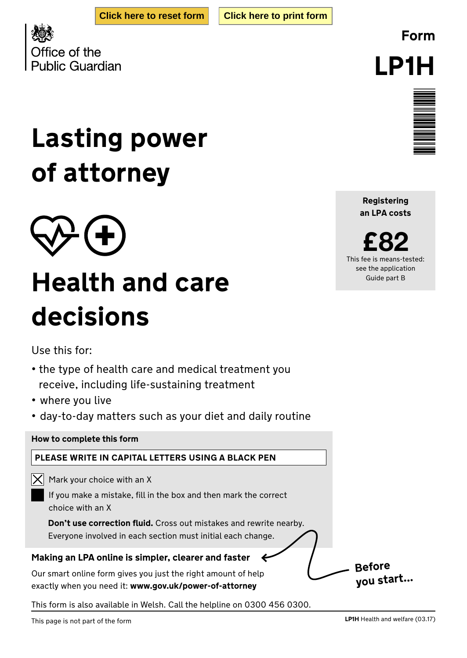

## **Lasting power of attorney**



# **Health and care decisions**

Use this for:

- the type of health care and medical treatment you receive, including life-sustaining treatment
- where you live
- day-to-day matters such as your diet and daily routine

#### **How to complete this form**

#### **PLEASE WRITE IN CAPITAL LETTERS USING A BLACK PEN**

 $|\mathsf{X}|$  Mark your choice with an X

If you make a mistake, fill in the box and then mark the correct choice with an X

**Don't use correction fluid.** Cross out mistakes and rewrite nearby. Everyone involved in each section must initial each change.

#### **Making an LPA online is simpler, clearer and faster**

Our smart online form gives you just the right amount of help exactly when you need it: **www.gov.uk/power-of-attorney**

This form is also available in Welsh. Call the helpline on 0300 456 0300.

**LP1H**

**Form**

**Registering an LPA costs**

**£82** This fee is means-tested: see the application Guide part B

**Before you start...**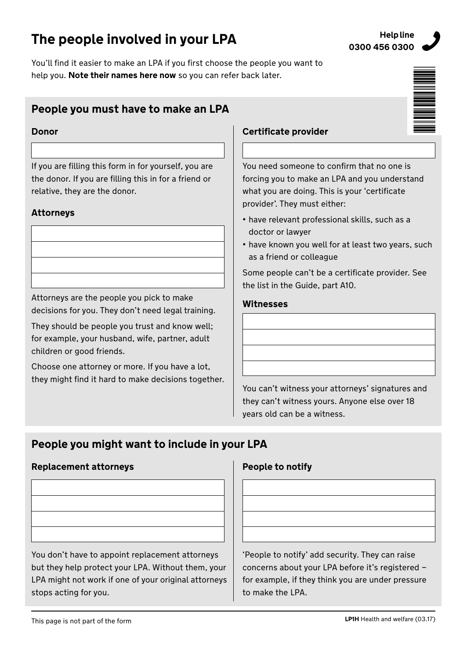### **The people involved in your LPA**

You'll find it easier to make an LPA if you first choose the people you want to help you. **Note their names here now** so you can refer back later.

#### **People you must have to make an LPA**

#### **Donor**

If you are filling this form in for yourself, you are the donor. If you are filling this in for a friend or relative, they are the donor.

#### **Attorneys**

Attorneys are the people you pick to make decisions for you. They don't need legal training.

They should be people you trust and know well; for example, your husband, wife, partner, adult children or good friends.

Choose one attorney or more. If you have a lot, they might find it hard to make decisions together.

#### **Certificate provider**

You need someone to confirm that no one is forcing you to make an LPA and you understand what you are doing. This is your 'certificate provider'. They must either:

- have relevant professional skills, such as a doctor or lawyer
- have known you well for at least two years, such as a friend or colleague

Some people can't be a certificate provider. See the list in the Guide, part A10.

#### **Witnesses**

You can't witness your attorneys' signatures and they can't witness yours. Anyone else over 18 years old can be a witness.

### **People you might want to include in your LPA**

#### **Replacement attorneys**

You don't have to appoint replacement attorneys but they help protect your LPA. Without them, your LPA might not work if one of your original attorneys stops acting for you.

#### **People to notify**

'People to notify' add security. They can raise concerns about your LPA before it's registered – for example, if they think you are under pressure to make the LPA.



#### **Helpline 0300 456 0300**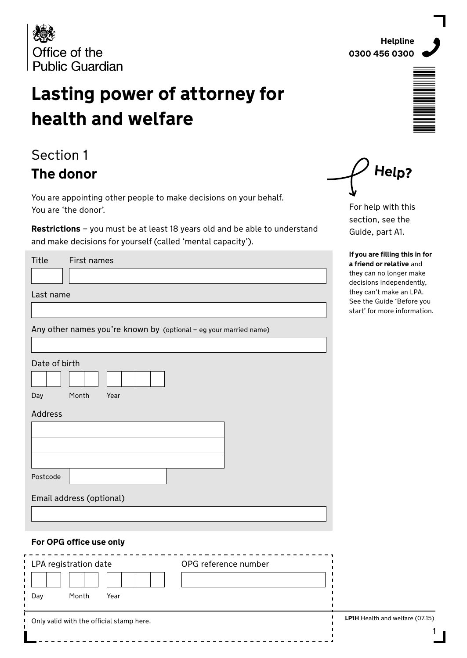

## **Lasting power of attorney for health and welfare**

### Section 1 **The donor**

Title First names

 $\overline{1}$   $\overline{1}$ 

You are appointing other people to make decisions on your behalf. You are 'the donor'.

**Restrictions** – you must be at least 18 years old and be able to understand and make decisions for yourself (called 'mental capacity').



For help with this section, see the Guide, part A1.

**Helpline**

**0300 456 0300**

**If you are filling this in for a friend or relative** and they can no longer make is independently, 't make an LPA. Guide 'Before you r more information.

|                                                                   | ,<br>decision         |
|-------------------------------------------------------------------|-----------------------|
| Last name                                                         | they can              |
|                                                                   | See the<br>start' for |
| Any other names you're known by (optional - eg your married name) |                       |
|                                                                   |                       |
| Date of birth<br>Month<br>Year<br>Day                             |                       |
| Address                                                           |                       |
|                                                                   |                       |
|                                                                   |                       |
|                                                                   |                       |
| Postcode                                                          |                       |
| Email address (optional)                                          |                       |
|                                                                   |                       |
|                                                                   |                       |
| For OPG office use only                                           |                       |
| OPG reference number<br>LPA registration date                     |                       |
|                                                                   |                       |
| Month<br>Day<br>Year                                              |                       |



1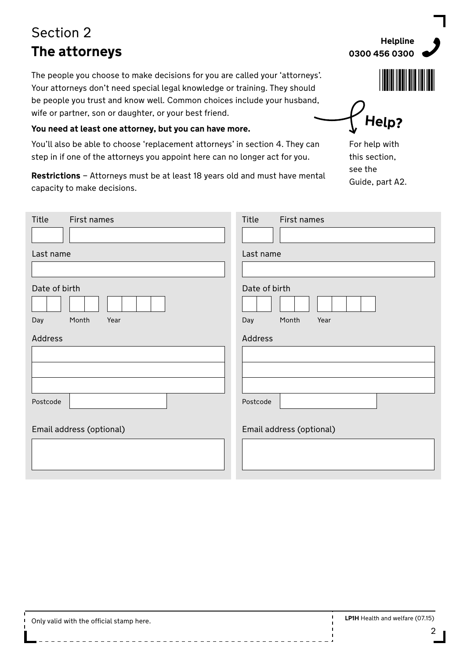### Section 2 **The attorneys**

The people you choose to make decisions for you are called your 'attorneys'. Your attorneys don't need special legal knowledge or training. They should be people you trust and know well. Common choices include your husband, wife or partner, son or daughter, or your best friend.

#### **You need at least one attorney, but you can have more.**

You'll also be able to choose 'replacement attorneys' in section 4. They can step in if one of the attorneys you appoint here can no longer act for you.

**Restrictions** – Attorneys must be at least 18 years old and must have mental capacity to make decisions.

| Title<br>First names                  | Title<br>First names                  |
|---------------------------------------|---------------------------------------|
| Last name                             | Last name                             |
| Date of birth<br>Month<br>Year<br>Day | Date of birth<br>Month<br>Year<br>Day |
| Address                               | Address                               |
| Postcode                              | Postcode                              |
| Email address (optional)              | Email address (optional)              |



**Help?**

**Helpline 0300 456 0300**

Only valid with the official stamp here.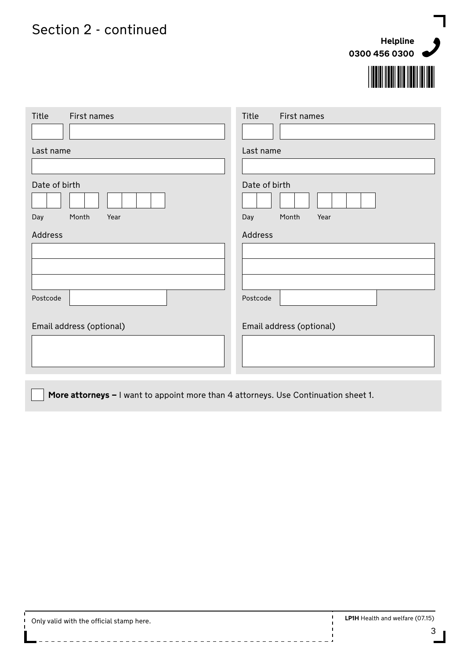### Section 2 - continued

**Helpline 0300 456 0300**



| Title<br>First names                  | Title<br>First names                  |
|---------------------------------------|---------------------------------------|
| Last name                             | Last name                             |
| Date of birth<br>Month<br>Year<br>Day | Date of birth<br>Month<br>Year<br>Day |
| Address                               | Address                               |
| Postcode                              | Postcode                              |
| Email address (optional)              | Email address (optional)              |

**More attorneys –** I want to appoint more than 4 attorneys. Use Continuation sheet 1.

Only valid with the official stamp here.

 $- - - - - - -$ 

 $\mathbf{I}$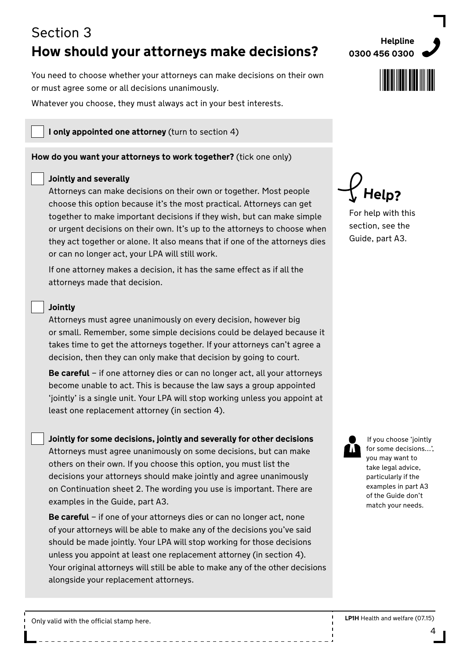### Section 3 **How should your attorneys make decisions?**

You need to choose whether your attorneys can make decisions on their own or must agree some or all decisions unanimously.

Whatever you choose, they must always act in your best interests.



 **I only appointed one attorney** (turn to section 4)

**How do you want your attorneys to work together?** (tick one only)

#### **Jointly and severally**

Attorneys can make decisions on their own or together. Most people choose this option because it's the most practical. Attorneys can get together to make important decisions if they wish, but can make simple or urgent decisions on their own. It's up to the attorneys to choose when they act together or alone. It also means that if one of the attorneys dies or can no longer act, your LPA will still work.

 If one attorney makes a decision, it has the same effect as if all the attorneys made that decision.

#### **Jointly**

Attorneys must agree unanimously on every decision, however big or small. Remember, some simple decisions could be delayed because it takes time to get the attorneys together. If your attorneys can't agree a decision, then they can only make that decision by going to court.

 **Be careful** – if one attorney dies or can no longer act, all your attorneys become unable to act. This is because the law says a group appointed 'jointly' is a single unit. Your LPA will stop working unless you appoint at least one replacement attorney (in section 4).

 **Jointly for some decisions, jointly and severally for other decisions**

Attorneys must agree unanimously on some decisions, but can make others on their own. If you choose this option, you must list the decisions your attorneys should make jointly and agree unanimously on Continuation sheet 2. The wording you use is important. There are examples in the Guide, part A3.

 **Be careful** – if one of your attorneys dies or can no longer act, none of your attorneys will be able to make any of the decisions you've said should be made jointly. Your LPA will stop working for those decisions unless you appoint at least one replacement attorney (in section 4). Your original attorneys will still be able to make any of the other decisions alongside your replacement attorneys.



**Help?**

For help with this section, see the Guide, part A3.



If you choose 'jointly for some decisions…', you may want to take legal advice, particularly if the examples in part A3 of the Guide don't match your needs.

Only valid with the official stamp here.

**LP1H** Health and welfare (07.15)

4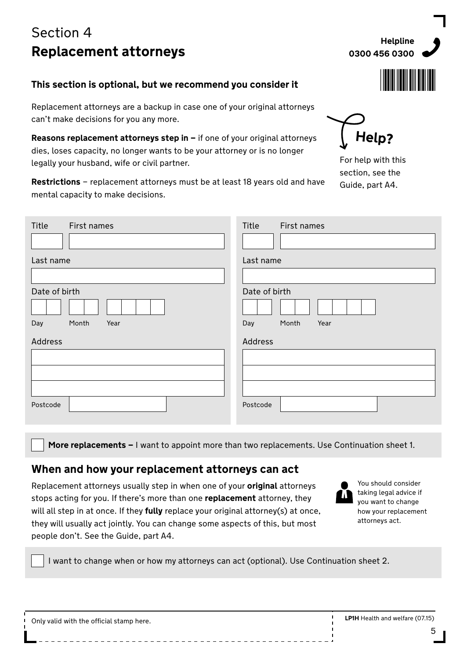### Section 4 **Replacement attorneys**

#### **This section is optional, but we recommend you consider it**

Replacement attorneys are a backup in case one of your original attorneys can't make decisions for you any more.

**Reasons replacement attorneys step in –** if one of your original attorneys dies, loses capacity, no longer wants to be your attorney or is no longer legally your husband, wife or civil partner.

**Restrictions** – replacement attorneys must be at least 18 years old and have mental capacity to make decisions.

| Title<br>First names | Title<br>First names |
|----------------------|----------------------|
|                      |                      |
| Last name            | Last name            |
|                      |                      |
| Date of birth        | Date of birth        |
|                      |                      |
| Day<br>Month<br>Year | Month<br>Day<br>Year |
| Address              | Address              |
|                      |                      |
|                      |                      |
|                      |                      |
| Postcode             | Postcode             |
|                      |                      |

 **More replacements –** I want to appoint more than two replacements. Use Continuation sheet 1.

#### **When and how your replacement attorneys can act**

Replacement attorneys usually step in when one of your **original** attorneys stops acting for you. If there's more than one **replacement** attorney, they will all step in at once. If they **fully** replace your original attorney(s) at once, they will usually act jointly. You can change some aspects of this, but most people don't. See the Guide, part A4.

You should consider taking legal advice if you want to change how your replacement attorneys act.

I want to change when or how my attorneys can act (optional). Use Continuation sheet 2.



**0300 456 0300**

**Helpline**



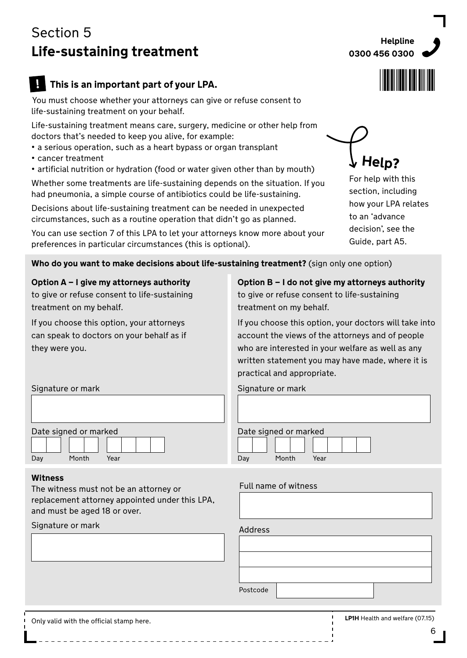### Section 5 **Life-sustaining treatment**

Signature or mark

Only valid with the official stamp here.

#### **This is an important part of your LPA.**

You must choose whether your attorneys can give or refuse consent to life-sustaining treatment on your behalf.

Life-sustaining treatment means care, surgery, medicine or other help from doctors that's needed to keep you alive, for example:

- a serious operation, such as a heart bypass or organ transplant
- cancer treatment

Signature or mark

Date signed or marked

Day Month Year

and must be aged 18 or over.

**Witness**

• artificial nutrition or hydration (food or water given other than by mouth)

Whether some treatments are life-sustaining depends on the situation. If you had pneumonia, a simple course of antibiotics could be life-sustaining.

Decisions about life-sustaining treatment can be needed in unexpected circumstances, such as a routine operation that didn't go as planned.

You can use section 7 of this LPA to let your attorneys know more about your preferences in particular circumstances (this is optional).

# **Help?**

For help with this section, including how your LPA relates to an 'advance decision', see the Guide, part A5.

**Who do you want to make decisions about life-sustaining treatment?** (sign only one option)

#### **Option A – I give my attorneys authority**

to give or refuse consent to life-sustaining treatment on my behalf.

If you choose this option, your attorneys can speak to doctors on your behalf as if they were you.

The witness must not be an attorney or

replacement attorney appointed under this LPA,

**Option B – I do not give my attorneys authority** to give or refuse consent to life-sustaining treatment on my behalf.

If you choose this option, your doctors will take into account the views of the attorneys and of people who are interested in your welfare as well as any written statement you may have made, where it is practical and appropriate.

Signature or mark

| Date signed or marked |      |  |
|-----------------------|------|--|
|                       |      |  |
| Month                 | ⁄ear |  |

#### Full name of witness

Address

| Postcode |  |
|----------|--|

**LP1H** Health and welfare (07.15)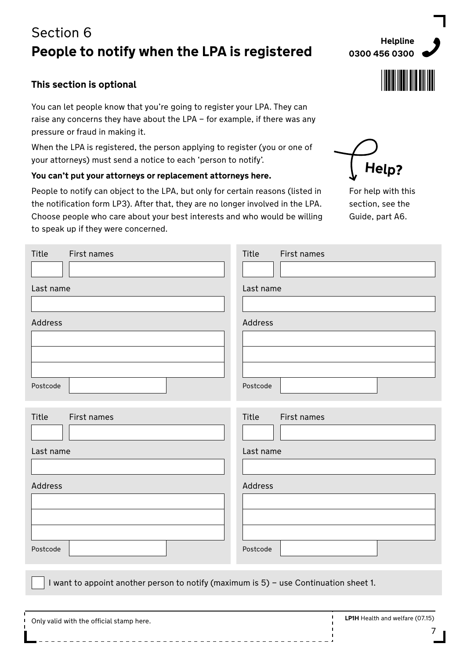### Section 6 **People to notify when the LPA is registered**

#### **This section is optional**

You can let people know that you're going to register your LPA. They can raise any concerns they have about the LPA – for example, if there was any pressure or fraud in making it.

When the LPA is registered, the person applying to register (you or one of your attorneys) must send a notice to each 'person to notify'.

#### **You can't put your attorneys or replacement attorneys here.**

**0300 456 0300**

**Helpline**



For help with this section, see the Guide, part A6.

People to notify can object to the LPA, but only for certain reasons (listed in the notification form LP3). After that, they are no longer involved in the LPA. Choose people who care about your best interests and who would be willing to speak up if they were concerned.

\_\_\_\_\_\_\_\_\_\_\_\_\_\_\_\_\_\_\_\_\_\_\_\_\_\_

| Title     | First names                                                                           | Title     | First names |
|-----------|---------------------------------------------------------------------------------------|-----------|-------------|
|           |                                                                                       |           |             |
| Last name |                                                                                       | Last name |             |
|           |                                                                                       |           |             |
| Address   |                                                                                       | Address   |             |
|           |                                                                                       |           |             |
|           |                                                                                       |           |             |
|           |                                                                                       |           |             |
| Postcode  |                                                                                       | Postcode  |             |
| Title     | First names                                                                           | Title     | First names |
|           |                                                                                       |           |             |
| Last name |                                                                                       | Last name |             |
|           |                                                                                       |           |             |
| Address   |                                                                                       | Address   |             |
|           |                                                                                       |           |             |
|           |                                                                                       |           |             |
| Postcode  |                                                                                       | Postcode  |             |
|           |                                                                                       |           |             |
|           | I want to appoint another person to notify (maximum is 5) - use Continuation sheet 1. |           |             |

7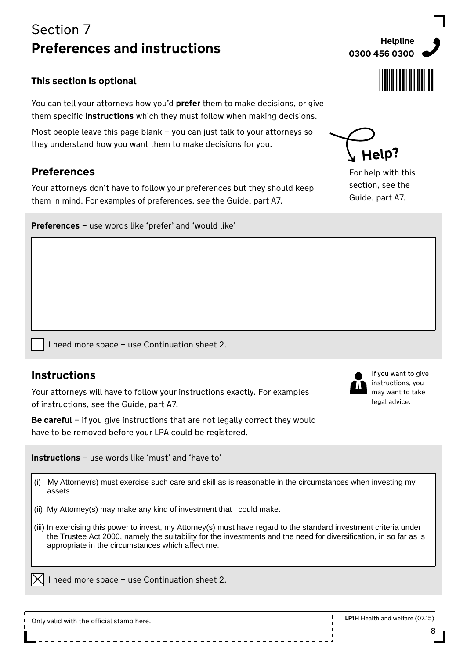### Section 7 **Preferences and instructions**

### **This section is optional**

You can tell your attorneys how you'd **prefer** them to make decisions, or give them specific **instructions** which they must follow when making decisions.

Most people leave this page blank – you can just talk to your attorneys so they understand how you want them to make decisions for you.

### **Preferences**

Your attorneys don't have to follow your preferences but they should keep them in mind. For examples of preferences, see the Guide, part A7.

**Preferences** – use words like 'prefer' and 'would like'

|  | Help? |
|--|-------|

For help with this section, see the Guide, part A7.

**Helpline**

**0300 456 0300**

I need more space – use Continuation sheet 2.

#### **Instructions**

Your attorneys will have to follow your instructions exactly. For examples of instructions, see the Guide, part A7.

**Be careful** – if you give instructions that are not legally correct they would have to be removed before your LPA could be registered.

**Instructions** – use words like 'must' and 'have to'

(i) My Attorney(s) must exercise such care and skill as is reasonable in the circumstances when investing my assets.

(ii) My Attorney(s) may make any kind of investment that I could make.

(iii) In exercising this power to invest, my Attorney(s) must have regard to the standard investment criteria under the Trustee Act 2000, namely the suitability for the investments and the need for diversification, in so far as is appropriate in the circumstances which affect me.

 $|\times|$  I need more space – use Continuation sheet 2.

Only valid with the official stamp here.



If you want to give instructions, you may want to take legal advice.

**LP1H** Health and welfare (07.15)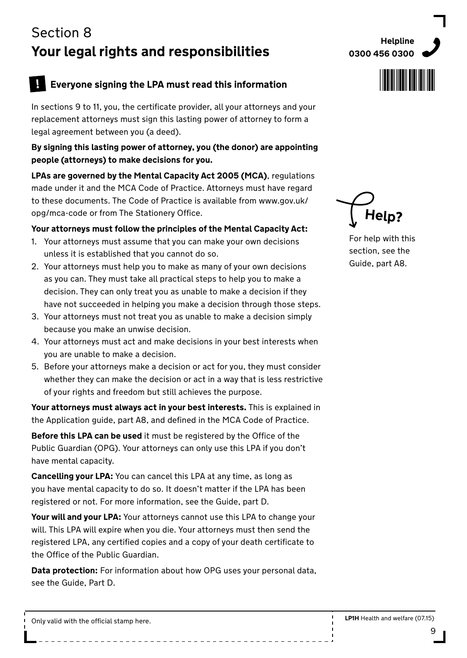### Section 8 **Your legal rights and responsibilities**

#### **Everyone signing the LPA must read this information**

In sections 9 to 11, you, the certificate provider, all your attorneys and your replacement attorneys must sign this lasting power of attorney to form a legal agreement between you (a deed).

#### **By signing this lasting power of attorney, you (the donor) are appointing people (attorneys) to make decisions for you.**

**LPAs are governed by the Mental Capacity Act 2005 (MCA)**, regulations made under it and the MCA Code of Practice. Attorneys must have regard to these documents. The Code of Practice is available from www.gov.uk/ opg/mca-code or from The Stationery Office.

#### **Your attorneys must follow the principles of the Mental Capacity Act:**

- 1. Your attorneys must assume that you can make your own decisions unless it is established that you cannot do so.
- 2. Your attorneys must help you to make as many of your own decisions as you can. They must take all practical steps to help you to make a decision. They can only treat you as unable to make a decision if they have not succeeded in helping you make a decision through those steps.
- 3. Your attorneys must not treat you as unable to make a decision simply because you make an unwise decision.
- 4. Your attorneys must act and make decisions in your best interests when you are unable to make a decision.
- 5. Before your attorneys make a decision or act for you, they must consider whether they can make the decision or act in a way that is less restrictive of your rights and freedom but still achieves the purpose.

**Your attorneys must always act in your best interests.** This is explained in the Application guide, part A8, and defined in the MCA Code of Practice.

**Before this LPA can be used** it must be registered by the Office of the Public Guardian (OPG). Your attorneys can only use this LPA if you don't have mental capacity.

**Cancelling your LPA:** You can cancel this LPA at any time, as long as you have mental capacity to do so. It doesn't matter if the LPA has been registered or not. For more information, see the Guide, part D.

**Your will and your LPA:** Your attorneys cannot use this LPA to change your will. This LPA will expire when you die. Your attorneys must then send the registered LPA, any certified copies and a copy of your death certificate to the Office of the Public Guardian.

**Data protection:** For information about how OPG uses your personal data, see the Guide, Part D.



**Help?**

For help with this section, see the Guide, part A8.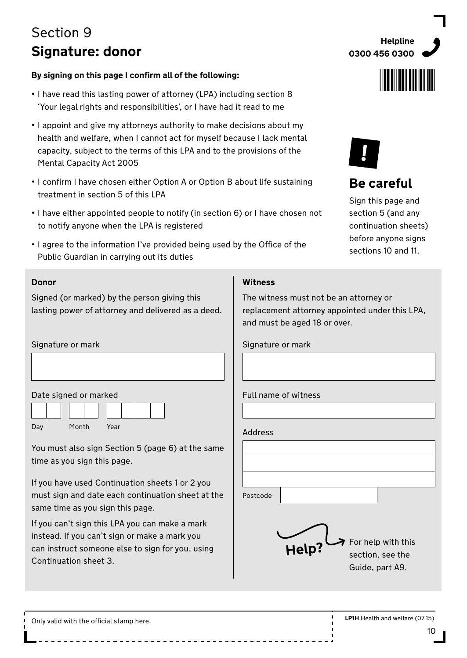### Section 9 **Signature: donor**

#### **By signing on this page I confirm all of the following:**

- I have read this lasting power of attorney (LPA) including section 8 'Your legal rights and responsibilities', or I have had it read to me
- I appoint and give my attorneys authority to make decisions about my health and welfare, when I cannot act for myself because I lack mental capacity, subject to the terms of this LPA and to the provisions of the Mental Capacity Act 2005
- I confirm I have chosen either Option A or Option B about life sustaining treatment in section 5 of this LPA
- I have either appointed people to notify (in section 6) or I have chosen not to notify anyone when the LPA is registered
- I agree to the information I've provided being used by the Office of the Public Guardian in carrying out its duties

#### **Donor**

Signed (or marked) by the person giving this lasting power of attorney and delivered as a deed.

Signature or mark

Date signed or marked



You must also sign Section 5 (page 6) at the same time as you sign this page.

If you have used Continuation sheets 1 or 2 you must sign and date each continuation sheet at the same time as you sign this page.

If you can't sign this LPA you can make a mark instead. If you can't sign or make a mark you can instruct someone else to sign for you, using Continuation sheet 3.





### **Be careful**

Sign this page and section 5 (and any continuation sheets) before anyone signs sections 10 and 11.

#### **Witness**

The witness must not be an attorney or replacement attorney appointed under this LPA, and must be aged 18 or over.

Signature or mark

Full name of witness

Address

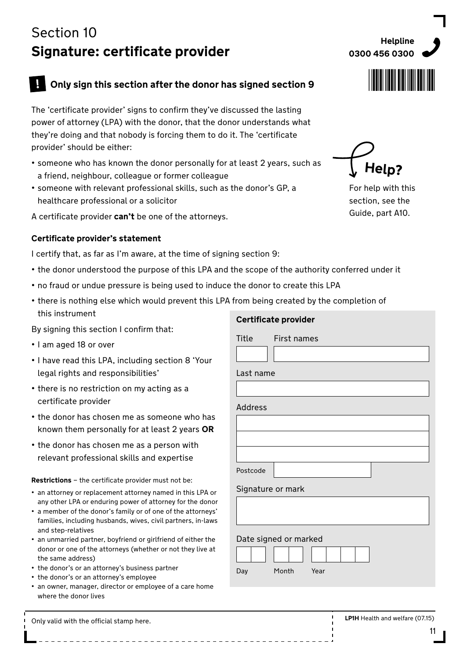### Section 10 **Signature: certificate provider**

#### **Only sign this section after the donor has signed section 9**

The 'certificate provider' signs to confirm they've discussed the lasting power of attorney (LPA) with the donor, that the donor understands what they're doing and that nobody is forcing them to do it. The 'certificate provider' should be either:

- someone who has known the donor personally for at least 2 years, such as a friend, neighbour, colleague or former colleague
- someone with relevant professional skills, such as the donor's GP, a healthcare professional or a solicitor
- A certificate provider **can't** be one of the attorneys.

#### **Certificate provider's statement**

I certify that, as far as I'm aware, at the time of signing section 9:

- the donor understood the purpose of this LPA and the scope of the authority conferred under it
- no fraud or undue pressure is being used to induce the donor to create this LPA
- there is nothing else which would prevent this LPA from being created by the completion of this instrument

. <u>. . . . . . . . . . . . . . . .</u>

By signing this section I confirm that:

- I am aged 18 or over
- I have read this LPA, including section 8 'Your legal rights and responsibilities'
- there is no restriction on my acting as a certificate provider
- the donor has chosen me as someone who has known them personally for at least 2 years **OR**
- the donor has chosen me as a person with relevant professional skills and expertise

**Restrictions** – the certificate provider must not be:

- an attorney or replacement attorney named in this LPA or any other LPA or enduring power of attorney for the donor
- a member of the donor's family or of one of the attorneys' families, including husbands, wives, civil partners, in-laws and step-relatives
- an unmarried partner, boyfriend or girlfriend of either the donor or one of the attorneys (whether or not they live at the same address)
- the donor's or an attorney's business partner
- the donor's or an attorney's employee
- an owner, manager, director or employee of a care home where the donor lives

# Title First names Last name Address Postcode Signature or mark Date signed or marked Day Month Year



For help with this section, see the Guide, part A10.

Only valid with the official stamp here.

**LP1H** Health and welfare (07.15)

### **Certificate provider**

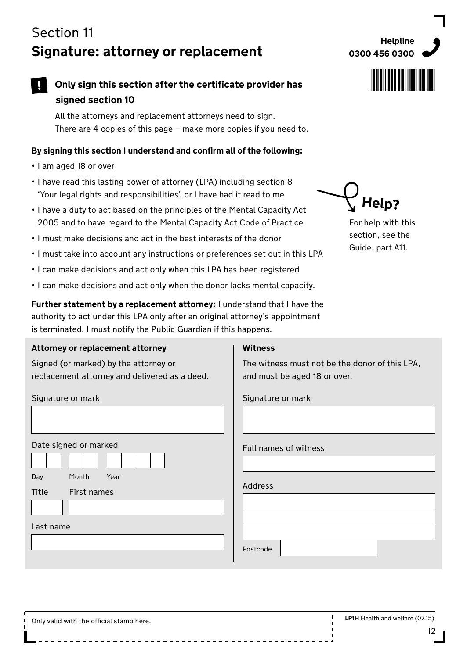## **Helpline 0300 456 0300**

#### **Only sign this section after the certificate provider has signed section 10**

All the attorneys and replacement attorneys need to sign. There are 4 copies of this page – make more copies if you need to.

#### **By signing this section I understand and confirm all of the following:**

- I am aged 18 or over
- I have read this lasting power of attorney (LPA) including section 8 'Your legal rights and responsibilities', or I have had it read to me
- I have a duty to act based on the principles of the Mental Capacity Act 2005 and to have regard to the Mental Capacity Act Code of Practice
- I must make decisions and act in the best interests of the donor
- I must take into account any instructions or preferences set out in this LPA
- I can make decisions and act only when this LPA has been registered
- I can make decisions and act only when the donor lacks mental capacity.

**Further statement by a replacement attorney:** I understand that I have the authority to act under this LPA only after an original attorney's appointment is terminated. I must notify the Public Guardian if this happens.

#### **Attorney or replacement attorney**

Signed (or marked) by the attorney or replacement attorney and delivered as a deed.

Signature or mark

|           | Date signed or marked |
|-----------|-----------------------|
|           |                       |
| Day       | Month<br>Year         |
| Title     | First names           |
|           |                       |
| Last name |                       |
|           |                       |

#### **Witness**

The witness must not be the donor of this LPA, and must be aged 18 or over.

Signature or mark

Full names of witness

Address



For help with this section, see the Guide, part A11.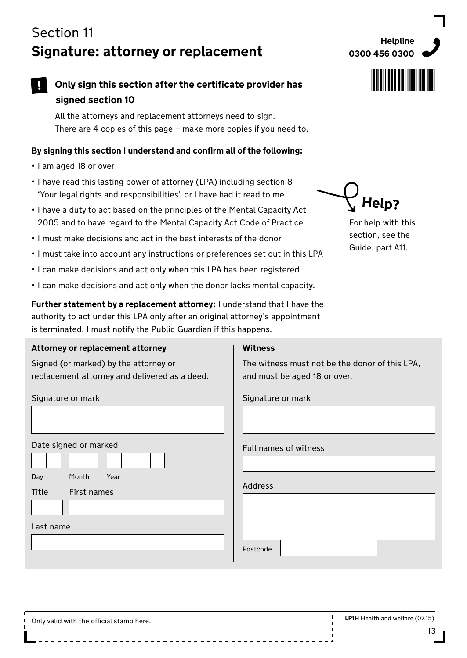## **Helpline 0300 456 0300**

#### **Only sign this section after the certificate provider has signed section 10**

All the attorneys and replacement attorneys need to sign. There are 4 copies of this page – make more copies if you need to.

#### **By signing this section I understand and confirm all of the following:**

- I am aged 18 or over
- I have read this lasting power of attorney (LPA) including section 8 'Your legal rights and responsibilities', or I have had it read to me
- I have a duty to act based on the principles of the Mental Capacity Act 2005 and to have regard to the Mental Capacity Act Code of Practice
- I must make decisions and act in the best interests of the donor
- I must take into account any instructions or preferences set out in this LPA
- I can make decisions and act only when this LPA has been registered
- I can make decisions and act only when the donor lacks mental capacity.

**Further statement by a replacement attorney:** I understand that I have the authority to act under this LPA only after an original attorney's appointment is terminated. I must notify the Public Guardian if this happens.

#### **Attorney or replacement attorney**

Only valid with the official stamp here.

Signed (or marked) by the attorney or replacement attorney and delivered as a deed.

Signature or mark

| Date signed or marked |
|-----------------------|
|                       |
| Month<br>Year<br>Day  |
| Title<br>First names  |
|                       |
| Last name             |
|                       |

#### **Witness**

The witness must not be the donor of this LPA, and must be aged 18 or over.

Signature or mark

Full names of witness

Address



For help with this section, see the Guide, part A11.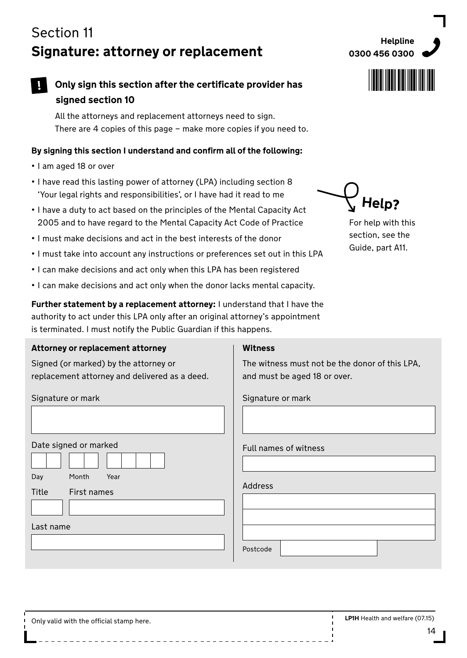## **Helpline 0300 456 0300**

#### **Only sign this section after the certificate provider has signed section 10**

All the attorneys and replacement attorneys need to sign. There are 4 copies of this page – make more copies if you need to.

#### **By signing this section I understand and confirm all of the following:**

- I am aged 18 or over
- I have read this lasting power of attorney (LPA) including section 8 'Your legal rights and responsibilities', or I have had it read to me
- I have a duty to act based on the principles of the Mental Capacity Act 2005 and to have regard to the Mental Capacity Act Code of Practice
- I must make decisions and act in the best interests of the donor
- I must take into account any instructions or preferences set out in this LPA
- I can make decisions and act only when this LPA has been registered
- I can make decisions and act only when the donor lacks mental capacity.

**Further statement by a replacement attorney:** I understand that I have the authority to act under this LPA only after an original attorney's appointment is terminated. I must notify the Public Guardian if this happens.

#### **Attorney or replacement attorney**

Signed (or marked) by the attorney or replacement attorney and delivered as a deed.

Signature or mark

|           | Date signed or marked |
|-----------|-----------------------|
|           |                       |
| Day       | Month<br>Year         |
| Title     | First names           |
|           |                       |
| Last name |                       |
|           |                       |

#### **Witness**

The witness must not be the donor of this LPA, and must be aged 18 or over.

Signature or mark

Full names of witness

Address



For help with this section, see the Guide, part A11.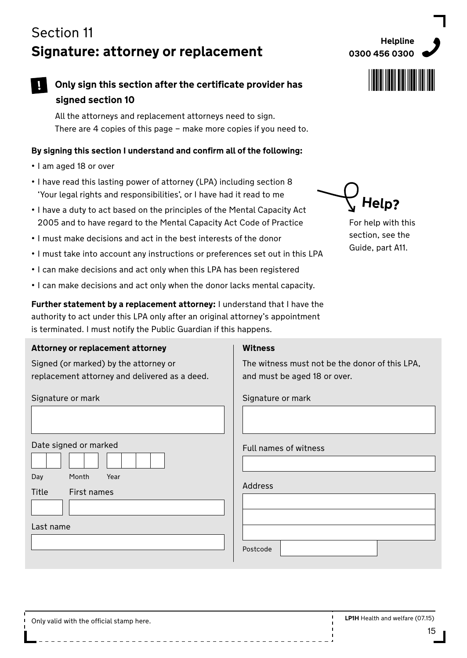## **Helpline 0300 456 0300**

#### **Only sign this section after the certificate provider has signed section 10**

All the attorneys and replacement attorneys need to sign. There are 4 copies of this page – make more copies if you need to.

#### **By signing this section I understand and confirm all of the following:**

- I am aged 18 or over
- I have read this lasting power of attorney (LPA) including section 8 'Your legal rights and responsibilities', or I have had it read to me
- I have a duty to act based on the principles of the Mental Capacity Act 2005 and to have regard to the Mental Capacity Act Code of Practice
- I must make decisions and act in the best interests of the donor
- I must take into account any instructions or preferences set out in this LPA
- I can make decisions and act only when this LPA has been registered
- I can make decisions and act only when the donor lacks mental capacity.

**Further statement by a replacement attorney:** I understand that I have the authority to act under this LPA only after an original attorney's appointment is terminated. I must notify the Public Guardian if this happens.

#### **Attorney or replacement attorney**

Signed (or marked) by the attorney or replacement attorney and delivered as a deed.

Signature or mark

| Date signed or marked |
|-----------------------|
|                       |
| Month<br>Year<br>Day  |
| Title<br>First names  |
|                       |
| Last name             |
|                       |

#### **Witness**

The witness must not be the donor of this LPA, and must be aged 18 or over.

Signature or mark

Full names of witness

Address

Postcode

Only valid with the official stamp here.



For help with this section, see the Guide, part A11.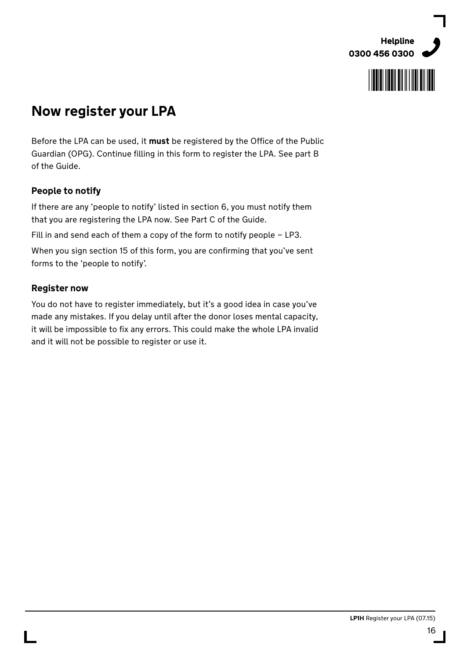

### **Now register your LPA**

Before the LPA can be used, it **must** be registered by the Office of the Public Guardian (OPG). Continue filling in this form to register the LPA. See part B of the Guide.

#### **People to notify**

If there are any 'people to notify' listed in section 6, you must notify them that you are registering the LPA now. See Part C of the Guide.

Fill in and send each of them a copy of the form to notify people – LP3.

When you sign section 15 of this form, you are confirming that you've sent forms to the 'people to notify'.

#### **Register now**

You do not have to register immediately, but it's a good idea in case you've made any mistakes. If you delay until after the donor loses mental capacity, it will be impossible to fix any errors. This could make the whole LPA invalid and it will not be possible to register or use it.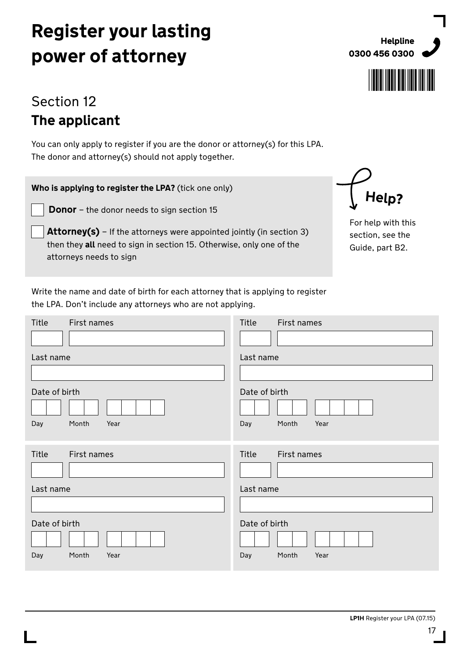## **Register your lasting power of attorney**



### Section 12 **The applicant**

You can only apply to register if you are the donor or attorney(s) for this LPA. The donor and attorney(s) should not apply together.

| Who is applying to register the LPA? (tick one only)                                                                                                                           | Help?                                                     |
|--------------------------------------------------------------------------------------------------------------------------------------------------------------------------------|-----------------------------------------------------------|
| <b>Donor</b> - the donor needs to sign section 15                                                                                                                              |                                                           |
| <b>Attorney(s)</b> – If the attorneys were appointed jointly (in section 3)<br>then they all need to sign in section 15. Otherwise, only one of the<br>attorneys needs to sign | For help with this<br>section, see the<br>Guide, part B2. |

Write the name and date of birth for each attorney that is applying to register the LPA. Don't include any attorneys who are not applying.

| Title         | Title         |
|---------------|---------------|
| First names   | First names   |
| Last name     | Last name     |
| Date of birth | Date of birth |
| Month         | Month         |
| Day           | Year          |
| Year          | Day           |
| Title         | Title         |
| First names   | First names   |
| Last name     | Last name     |
| Date of birth | Date of birth |
| Month         | Month         |
| Year          | Year          |
| Day           | Day           |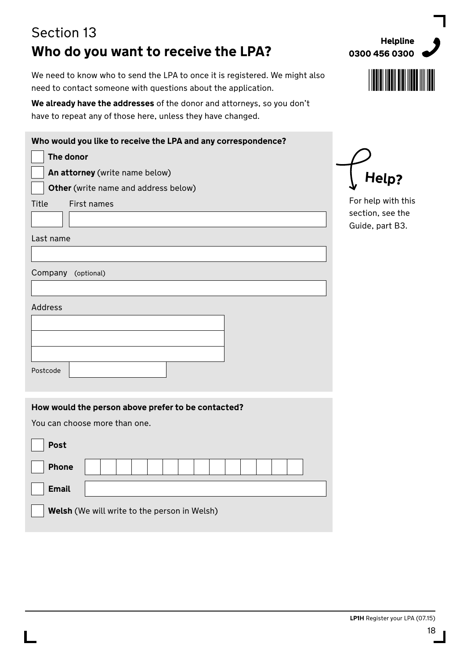### Section 13 **Who do you want to receive the LPA?**

We need to know who to send the LPA to once it is registered. We might also need to contact someone with questions about the application.

**We already have the addresses** of the donor and attorneys, so you don't have to repeat any of those here, unless they have changed.

| Who would you like to receive the LPA and any correspondence? |                                     |
|---------------------------------------------------------------|-------------------------------------|
| <b>The donor</b>                                              |                                     |
| An attorney (write name below)                                |                                     |
| Other (write name and address below)                          | Help?                               |
| <b>Title</b><br>First names                                   | For help with this                  |
|                                                               | section, see the<br>Guide, part B3. |
| Last name                                                     |                                     |
|                                                               |                                     |
| Company (optional)                                            |                                     |
|                                                               |                                     |
| Address                                                       |                                     |
|                                                               |                                     |
|                                                               |                                     |
|                                                               |                                     |
| Postcode                                                      |                                     |
|                                                               |                                     |
| How would the person above prefer to be contacted?            |                                     |
| You can choose more than one.                                 |                                     |
| <b>Post</b>                                                   |                                     |
| <b>Phone</b>                                                  |                                     |
| <b>Email</b>                                                  |                                     |
| Welsh (We will write to the person in Welsh)                  |                                     |



**LP1H** Register your LPA (07.15)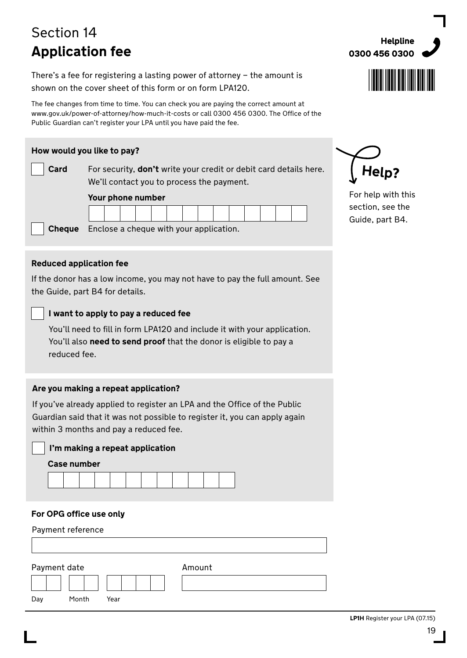### Section 14 **Application fee**

There's a fee for registering a lasting power of attorney – the amount is shown on the cover sheet of this form or on form LPA120.

The fee changes from time to time. You can check you are paying the correct amount at www.gov.uk/power-of-attorney/how-much-it-costs or call 0300 456 0300. The Office of the Public Guardian can't register your LPA until you have paid the fee.

|                                | How would you like to pay?                                                                                            |  |
|--------------------------------|-----------------------------------------------------------------------------------------------------------------------|--|
| Card                           | For security, <b>don't</b> write your credit or debit card details here.<br>We'll contact you to process the payment. |  |
|                                | Your phone number                                                                                                     |  |
|                                |                                                                                                                       |  |
| <b>Cheque</b>                  | Enclose a cheque with your application.                                                                               |  |
|                                |                                                                                                                       |  |
| <b>Reduced application fee</b> |                                                                                                                       |  |
|                                | If the donor has a low income, you may not have to pay the full amount. See                                           |  |
|                                | the Guide, part B4 for details.                                                                                       |  |
|                                | I want to apply to pay a reduced fee                                                                                  |  |
|                                | You'll need to fill in form LPA120 and include it with your application.                                              |  |
|                                | You'll also need to send proof that the donor is eligible to pay a                                                    |  |
| reduced fee.                   |                                                                                                                       |  |
|                                |                                                                                                                       |  |
|                                | Are you making a repeat application?                                                                                  |  |
|                                | If you've already applied to register an LPA and the Office of the Public                                             |  |
|                                | Guardian said that it was not possible to register it, you can apply again                                            |  |
|                                | within 3 months and pay a reduced fee.                                                                                |  |
|                                | I'm making a repeat application                                                                                       |  |
| <b>Case number</b>             |                                                                                                                       |  |
|                                |                                                                                                                       |  |
|                                |                                                                                                                       |  |
| For OPG office use only        |                                                                                                                       |  |
| Payment reference              |                                                                                                                       |  |
|                                |                                                                                                                       |  |
|                                |                                                                                                                       |  |
| Payment date                   | Amount                                                                                                                |  |
|                                |                                                                                                                       |  |
| Month<br>Day                   | Year                                                                                                                  |  |





**nelp with this** ion, see the e, part B4.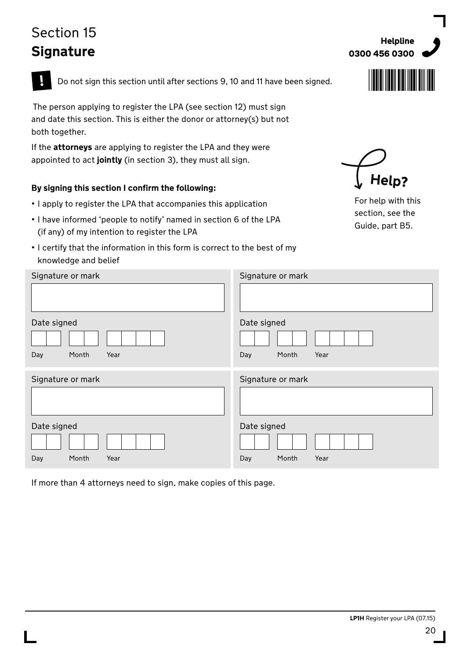### Section 15 **Signature**



Do not sign this section until after sections 9, 10 and 11 have been signed.

The person applying to register the LPA (see section 12) must sign and date this section. This is either the donor or attorney(s) but not both together.

If the **attorneys** are applying to register the LPA and they were appointed to act **jointly** (in section 3), they must all sign.

#### **By signing this section I confirm the following:**

- I apply to register the LPA that accompanies this application
- I have informed 'people to notify' named in section 6 of the LPA (if any) of my intention to register the LPA
- I certify that the information in this form is correct to the best of my knowledge and belief

| 0300 456 0300 | $\bullet$ |
|---------------|-----------|
|               |           |

**Helpline**

**Help?**

For help with this section, see the Guide, part B5.

| Signature or mark | Signature or mark |
|-------------------|-------------------|
| Date signed       | Date signed       |
| Month             | Day               |
| Day               | Month             |
| Year              | Year              |
| Signature or mark | Signature or mark |
| Date signed       | Date signed       |
| Month             | Month             |
| Year              | Year              |
| Day               | Day               |

If more than 4 attorneys need to sign, make copies of this page.